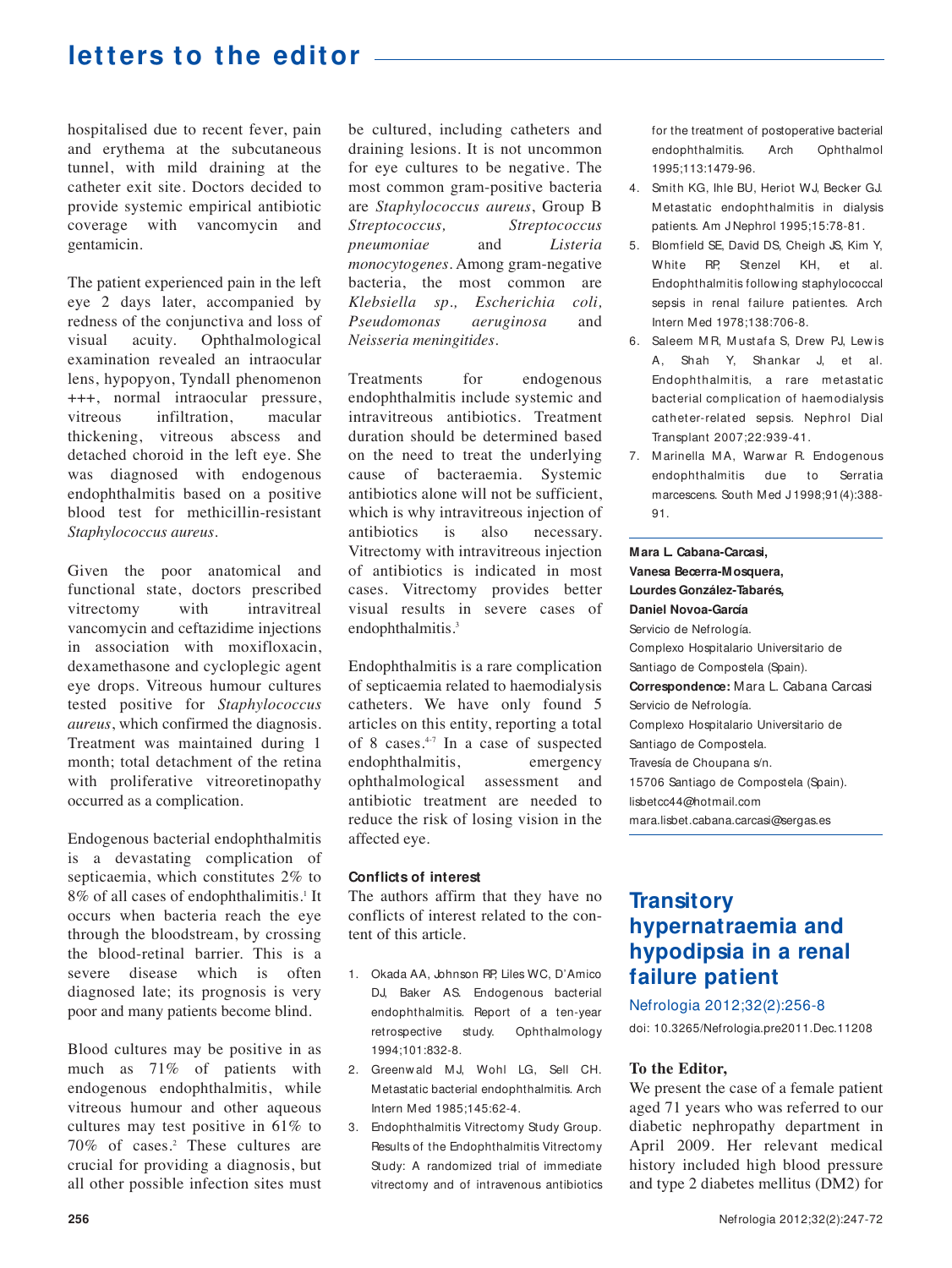# **letters to the editor** -

hospitalised due to recent fever, pain and erythema at the subcutaneous tunnel, with mild draining at the catheter exit site. Doctors decided to provide systemic empirical antibiotic coverage with vancomycin and gentamicin.

The patient experienced pain in the left eye 2 days later, accompanied by redness of the conjunctiva and loss of visual acuity. Ophthalmological examination revealed an intraocular lens, hypopyon, Tyndall phenomenon +++, normal intraocular pressure, vitreous infiltration, macular thickening, vitreous abscess and detached choroid in the left eye. She was diagnosed with endogenous endophthalmitis based on a positive blood test for methicillin-resistant *Staphylococcus aureus.*

Given the poor anatomical and functional state, doctors prescribed vitrectomy with intravitreal vancomycin and ceftazidime injections in association with moxifloxacin, dexamethasone and cycloplegic agent eye drops. Vitreous humour cultures tested positive for *Staphylococcus aureus*, which confirmed the diagnosis. Treatment was maintained during 1 month; total detachment of the retina with proliferative vitreoretinopathy occurred as a complication.

Endogenous bacterial endophthalmitis is a devastating complication of septicaemia, which constitutes 2% to 8% of all cases of endophthalimitis.<sup>1</sup> It occurs when bacteria reach the eye through the bloodstream, by crossing the blood-retinal barrier. This is a severe disease which is often diagnosed late; its prognosis is very poor and many patients become blind.

Blood cultures may be positive in as much as 71% of patients with endogenous endophthalmitis, while vitreous humour and other aqueous cultures may test positive in 61% to 70% of cases.<sup>2</sup> These cultures are crucial for providing a diagnosis, but all other possible infection sites must

be cultured, including catheters and draining lesions. It is not uncommon for eye cultures to be negative. The most common gram-positive bacteria are *Staphylococcus aureus*, Group B *Streptococcus, Streptococcus pneumoniae* and *Listeria monocytogenes.* Among gram-negative bacteria, the most common are *Klebsiella sp., Escherichia coli, Pseudomonas aeruginosa* and *Neisseria meningitides*.

Treatments for endogenous endophthalmitis include systemic and intravitreous antibiotics. Treatment duration should be determined based on the need to treat the underlying cause of bacteraemia. Systemic antibiotics alone will not be sufficient, which is why intravitreous injection of antibiotics is also necessary. Vitrectomy with intravitreous injection of antibiotics is indicated in most cases. Vitrectomy provides better visual results in severe cases of endophthalmitis.<sup>3</sup>

Endophthalmitis is a rare complication of septicaemia related to haemodialysis catheters. We have only found 5 articles on this entity, reporting a total of 8 cases.4-7 In a case of suspected endophthalmitis, emergency ophthalmological assessment and antibiotic treatment are needed to reduce the risk of losing vision in the affected eye.

#### **Conflicts of interest**

The authors affirm that they have no conflicts of interest related to the content of this article.

- 1. Okada AA, Johnson RP, Liles WC, D'Amico DJ, Baker AS. Endogenous bacterial endophthalmitis. Report of a ten-year retrospective study. Ophthalmology 1994;101:832-8.
- 2. Greenwald MJ, Wohl LG, Sell CH. Metastatic bacterial endophthalmitis. Arch Intern Med 1985;145:62-4.
- 3. Endophthalmitis Vitrectomy Study Group. Results of the Endophthalmitis Vitrectomy Study: A randomized trial of immediate vitrectomy and of intravenous antibiotics

for the treatment of postoperative bacterial endophthalmitis. Arch Ophthalmol 1995;113:1479-96.

- 4. Smith KG, Ihle BU, Heriot WJ, Becker GJ. M etastatic endophthalmitis in dialysis patients. Am J Nephrol 1995;15:78-81.
- 5. Blomfield SE, David DS, Cheigh JS, Kim Y, White RP, Stenzel KH, et al. Endophthalmitis following staphylococcal sepsis in renal failure patientes. Arch Intern Med 1978;138:706-8.
- 6. Saleem M R, M ustafa S, Drew PJ, Lew is A, Shah Y, Shankar J, et al. Endophthalmitis, a rare metastatic bacterial complication of haemodialysis catheter-related sepsis. Nephrol Dial Transplant 2007;22:939-41.
- 7. Marinella MA, Warwar R. Endogenous endophthalmitis due to Serratia marcescens. South Med J 1998;91(4):388- 91.

**Mara L. Cabana-Carcasi, Vanesa Becerra-Mosquera, Lourdes González-Tabarés, Daniel Novoa-García** Servicio de Nefrología. Complexo Hospitalario Universitario de Santiago de Compostela (Spain). **Correspondence:** Mara L. Cabana Carcasi Servicio de Nefrología. Complexo Hospitalario Universitario de Santiago de Compostela. Travesía de Choupana s/n. 15706 Santiago de Compostela (Spain). lisbetcc44@hotmail.com mara.lisbet.cabana.carcasi@sergas.es

## **Transitory hypernatraemia and hypodipsia in a renal failure patient**

Nefrologia 2012;32(2):256-8 doi: 10.3265/Nefrologia.pre2011.Dec.11208

#### **To the Editor,**

We present the case of a female patient aged 71 years who was referred to our diabetic nephropathy department in April 2009. Her relevant medical history included high blood pressure and type 2 diabetes mellitus (DM2) for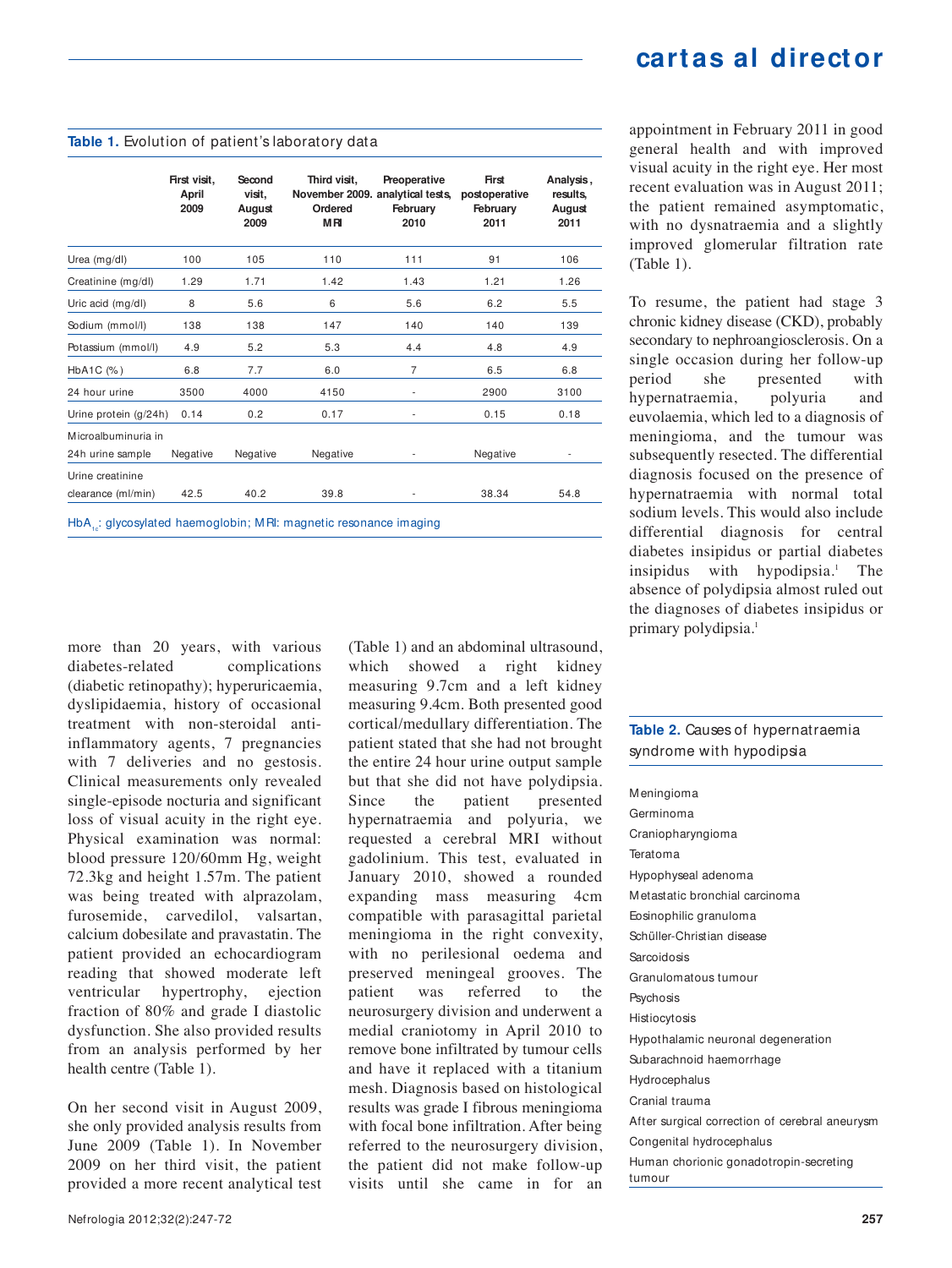# **cart as al direct or**

### Table 1. Evolution of patient's laboratory data

|                       | First visit,<br>April<br>2009 | Second<br>visit.<br>August<br>2009 | Third visit,<br>Ordered<br>MRI | Preoperative<br>November 2009. analytical tests,<br>February<br>2010 | First<br>postoperative<br>February<br>2011 | Analysis,<br>results,<br>August<br>2011 |
|-----------------------|-------------------------------|------------------------------------|--------------------------------|----------------------------------------------------------------------|--------------------------------------------|-----------------------------------------|
| Urea (mg/dl)          | 100                           | 105                                | 110                            | 111                                                                  | 91                                         | 106                                     |
| Creatinine (mg/dl)    | 1.29                          | 1.71                               | 1.42                           | 1.43                                                                 | 1.21                                       | 1.26                                    |
| Uric acid (mg/dl)     | 8                             | 5.6                                | 6                              | 5.6                                                                  | 6.2                                        | 5.5                                     |
| Sodium (mmol/l)       | 138                           | 138                                | 147                            | 140                                                                  | 140                                        | 139                                     |
| Potassium (mmol/l)    | 4.9                           | 5.2                                | 5.3                            | 4.4                                                                  | 4.8                                        | 4.9                                     |
| $HbA1C$ $(\% )$       | 6.8                           | 7.7                                | 6.0                            | $\overline{7}$                                                       | 6.5                                        | 6.8                                     |
| 24 hour urine         | 3500                          | 4000                               | 4150                           | ٠                                                                    | 2900                                       | 3100                                    |
| Urine protein (g/24h) | 0.14                          | 0.2                                | 0.17                           | ٠                                                                    | 0.15                                       | 0.18                                    |
| Microalbuminuria in   |                               |                                    |                                |                                                                      |                                            |                                         |
| 24h urine sample      | Negative                      | Negative                           | Negative                       | $\overline{\phantom{a}}$                                             | Negative                                   | $\overline{\phantom{a}}$                |
| Urine creatinine      |                               |                                    |                                |                                                                      |                                            |                                         |
| clearance (ml/min)    | 42.5                          | 40.2                               | 39.8                           | $\blacksquare$                                                       | 38.34                                      | 54.8                                    |

 $\mathsf{HbA}_{\scriptscriptstyle{1c}}$ : glycosylated haemoglobin; MRI: magnetic resonance imaging

more than 20 years, with various diabetes-related complications (diabetic retinopathy); hyperuricaemia, dyslipidaemia, history of occasional treatment with non-steroidal antiinflammatory agents, 7 pregnancies with 7 deliveries and no gestosis. Clinical measurements only revealed single-episode nocturia and significant loss of visual acuity in the right eye. Physical examination was normal: blood pressure 120/60mm Hg, weight 72.3kg and height 1.57m. The patient was being treated with alprazolam, furosemide, carvedilol, valsartan, calcium dobesilate and pravastatin. The patient provided an echocardiogram reading that showed moderate left ventricular hypertrophy, ejection fraction of 80% and grade I diastolic dysfunction. She also provided results from an analysis performed by her health centre (Table 1).

On her second visit in August 2009, she only provided analysis results from June 2009 (Table 1). In November 2009 on her third visit, the patient provided a more recent analytical test (Table 1) and an abdominal ultrasound, which showed a right kidney measuring 9.7cm and a left kidney measuring 9.4cm. Both presented good cortical/medullary differentiation. The patient stated that she had not brought the entire 24 hour urine output sample but that she did not have polydipsia. Since the patient presented hypernatraemia and polyuria, we requested a cerebral MRI without gadolinium. This test, evaluated in January 2010, showed a rounded expanding mass measuring 4cm compatible with parasagittal parietal meningioma in the right convexity, with no perilesional oedema and preserved meningeal grooves. The patient was referred to the neurosurgery division and underwent a medial craniotomy in April 2010 to remove bone infiltrated by tumour cells and have it replaced with a titanium mesh. Diagnosis based on histological results was grade I fibrous meningioma with focal bone infiltration. After being referred to the neurosurgery division, the patient did not make follow-up visits until she came in for an appointment in February 2011 in good general health and with improved visual acuity in the right eye. Her most recent evaluation was in August 2011; the patient remained asymptomatic, with no dysnatraemia and a slightly improved glomerular filtration rate (Table 1).

To resume, the patient had stage 3 chronic kidney disease (CKD), probably secondary to nephroangiosclerosis. On a single occasion during her follow-up period she presented with hypernatraemia, polyuria and euvolaemia, which led to a diagnosis of meningioma, and the tumour was subsequently resected. The differential diagnosis focused on the presence of hypernatraemia with normal total sodium levels. This would also include differential diagnosis for central diabetes insipidus or partial diabetes insipidus with hypodipsia.<sup>1</sup> The absence of polydipsia almost ruled out the diagnoses of diabetes insipidus or primary polydipsia.<sup>1</sup>

#### **Table 2.** Causes of hypernatraemia syndrome with hypodipsia

Meningioma Germinoma Craniopharyngioma Teratoma Hypophyseal adenoma Metastatic bronchial carcinoma Eosinophilic granuloma Schüller-Christian disease Sarcoidosis Granulomatous tumour Psychosis Histiocytosis Hypothalamic neuronal degeneration Subarachnoid haemorrhage Hydrocephalus Cranial trauma After surgical correction of cerebral aneurysm Congenital hydrocephalus Human chorionic gonadotropin-secreting tumour